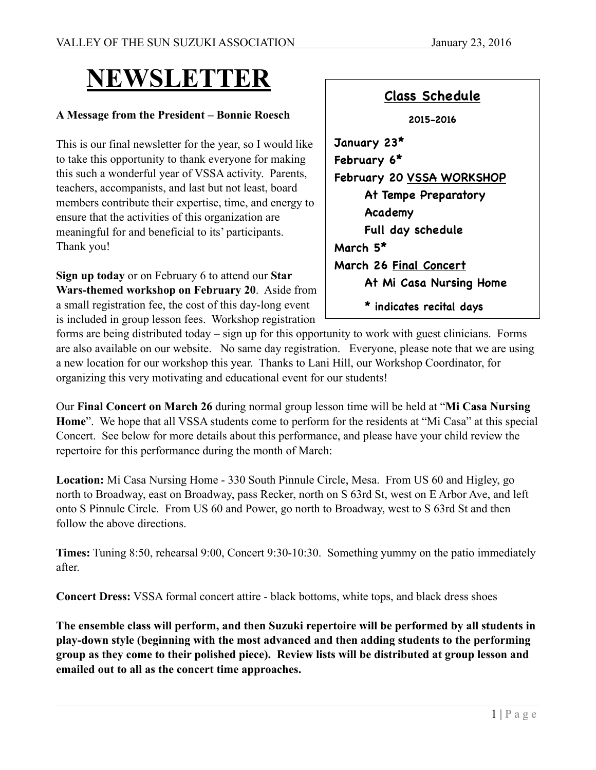# **NEWSLETTER**

### **A Message from the President – Bonnie Roesch**

This is our final newsletter for the year, so I would like to take this opportunity to thank everyone for making this such a wonderful year of VSSA activity. Parents, teachers, accompanists, and last but not least, board members contribute their expertise, time, and energy to ensure that the activities of this organization are meaningful for and beneficial to its' participants. Thank you!

**Sign up today** or on February 6 to attend our **Star Wars-themed workshop on February 20**. Aside from a small registration fee, the cost of this day-long event is included in group lesson fees. Workshop registration

| <b>Class Schedule</b>     |
|---------------------------|
| 2015–2016                 |
| January 23*               |
| February 6*               |
| February 20 VSSA WORKSHOP |
| At Tempe Preparatory      |
| Academy                   |
| Full day schedule         |
| March 5*                  |
| March 26 Final Concert    |
| At Mi Casa Nursing Home   |
| * indicates recital days  |

forms are being distributed today – sign up for this opportunity to work with guest clinicians. Forms are also available on our website. No same day registration. Everyone, please note that we are using a new location for our workshop this year. Thanks to Lani Hill, our Workshop Coordinator, for organizing this very motivating and educational event for our students!

Our **Final Concert on March 26** during normal group lesson time will be held at "**Mi Casa Nursing Home**". We hope that all VSSA students come to perform for the residents at "Mi Casa" at this special Concert. See below for more details about this performance, and please have your child review the repertoire for this performance during the month of March:

**Location:** Mi Casa Nursing Home - 330 South Pinnule Circle, Mesa. From US 60 and Higley, go north to Broadway, east on Broadway, pass Recker, north on S 63rd St, west on E Arbor Ave, and left onto S Pinnule Circle. From US 60 and Power, go north to Broadway, west to S 63rd St and then follow the above directions.

**Times:** Tuning 8:50, rehearsal 9:00, Concert 9:30-10:30. Something yummy on the patio immediately after.

**Concert Dress:** VSSA formal concert attire - black bottoms, white tops, and black dress shoes

**The ensemble class will perform, and then Suzuki repertoire will be performed by all students in play-down style (beginning with the most advanced and then adding students to the performing group as they come to their polished piece). Review lists will be distributed at group lesson and emailed out to all as the concert time approaches.**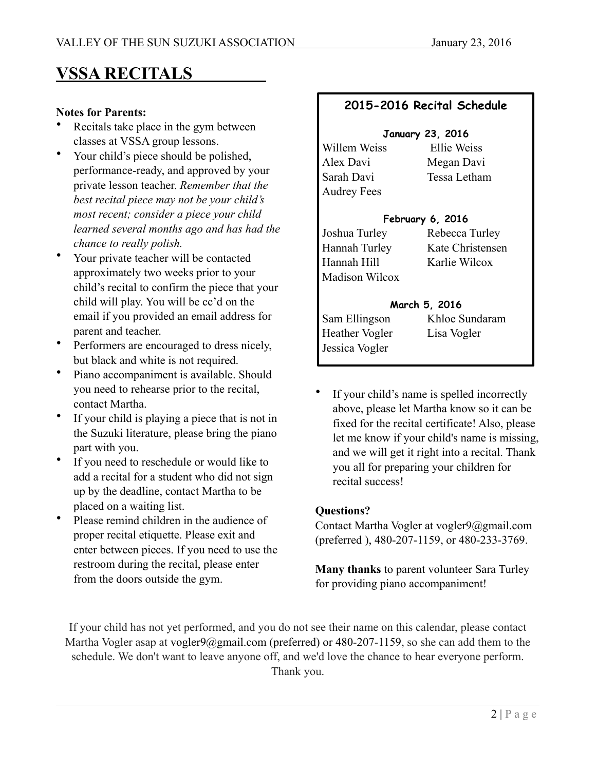## **VSSA RECITALS**

#### **Notes for Parents:**

- Recitals take place in the gym between classes at VSSA group lessons.
- Your child's piece should be polished, performance-ready, and approved by your private lesson teacher. *Remember that the best recital piece may not be your child's most recent; consider a piece your child learned several months ago and has had the chance to really polish.*
- Your private teacher will be contacted approximately two weeks prior to your child's recital to confirm the piece that your child will play. You will be cc'd on the email if you provided an email address for parent and teacher.
- Performers are encouraged to dress nicely, but black and white is not required.
- Piano accompaniment is available. Should you need to rehearse prior to the recital, contact Martha.
- If your child is playing a piece that is not in the Suzuki literature, please bring the piano part with you.
- If you need to reschedule or would like to add a recital for a student who did not sign up by the deadline, contact Martha to be placed on a waiting list.
- Please remind children in the audience of proper recital etiquette. Please exit and enter between pieces. If you need to use the restroom during the recital, please enter from the doors outside the gym.

### **2015-2016 Recital Schedule**

#### **January 23, 2016**

Alex Davi Megan Davi Sarah Davi Tessa Letham Audrey Fees

Willem Weiss Ellie Weiss

### **February 6, 2016**

Joshua Turley Rebecca Turley Hannah Turley Kate Christensen Hannah Hill Karlie Wilcox Madison Wilcox

### **March 5, 2016**

Sam Ellingson Khloe Sundaram Heather Vogler Lisa Vogler Jessica Vogler

If your child's name is spelled incorrectly above, please let Martha know so it can be fixed for the recital certificate! Also, please let me know if your child's name is missing, and we will get it right into a recital. Thank you all for preparing your children for recital success!

### **Questions?**

Contact Martha Vogler at vogler9@gmail.com (preferred ), 480-207-1159, or 480-233-3769.

**Many thanks** to parent volunteer Sara Turley for providing piano accompaniment!

If your child has not yet performed, and you do not see their name on this calendar, please contact Martha Vogler asap at vogler9@gmail.com (preferred) or 480-207-1159, so she can add them to the schedule. We don't want to leave anyone off, and we'd love the chance to hear everyone perform. Thank you.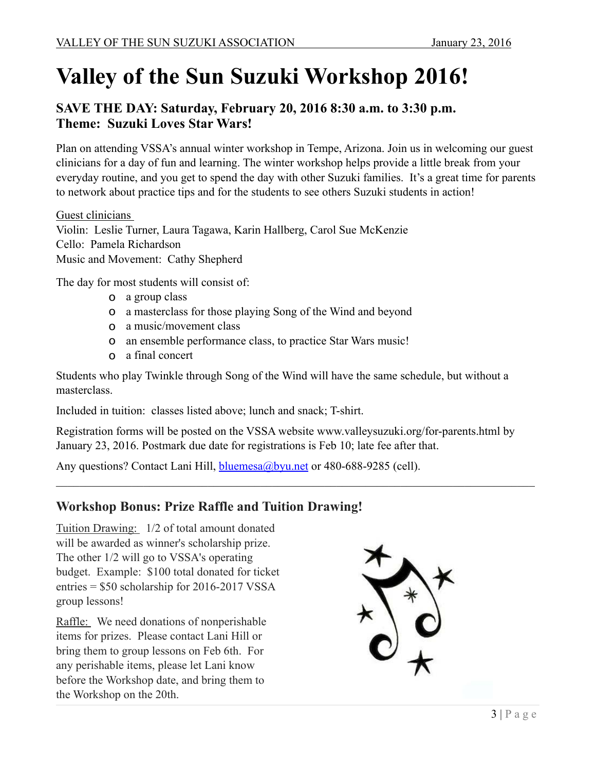# **Valley of the Sun Suzuki Workshop 2016!**

## **SAVE THE DAY: Saturday, February 20, 2016 8:30 a.m. to 3:30 p.m. Theme: Suzuki Loves Star Wars!**

Plan on attending VSSA's annual winter workshop in Tempe, Arizona. Join us in welcoming our guest clinicians for a day of fun and learning. The winter workshop helps provide a little break from your everyday routine, and you get to spend the day with other Suzuki families. It's a great time for parents to network about practice tips and for the students to see others Suzuki students in action!

Guest clinicians Violin: Leslie Turner, Laura Tagawa, Karin Hallberg, Carol Sue McKenzie Cello: Pamela Richardson Music and Movement: Cathy Shepherd

The day for most students will consist of:

- o a group class
- o a masterclass for those playing Song of the Wind and beyond
- o a music/movement class
- o an ensemble performance class, to practice Star Wars music!
- o a final concert

Students who play Twinkle through Song of the Wind will have the same schedule, but without a masterclass.

Included in tuition: classes listed above; lunch and snack; T-shirt.

Registration forms will be posted on the VSSA website www.valleysuzuki.org/for-parents.html by January 23, 2016. Postmark due date for registrations is Feb 10; late fee after that.

 $\_$  , and the contribution of the contribution of the contribution of the contribution of  $\mathcal{L}_\text{max}$ 

Any questions? Contact Lani Hill, [bluemesa@byu.net](mailto:bluemesa@byu.net) or 480-688-9285 (cell).

### **Workshop Bonus: Prize Raffle and Tuition Drawing!**

Tuition Drawing: 1/2 of total amount donated will be awarded as winner's scholarship prize. The other 1/2 will go to VSSA's operating budget. Example: \$100 total donated for ticket entries = \$50 scholarship for 2016-2017 VSSA group lessons!

Raffle: We need donations of nonperishable items for prizes. Please contact Lani Hill or bring them to group lessons on Feb 6th. For any perishable items, please let Lani know before the Workshop date, and bring them to the Workshop on the 20th.